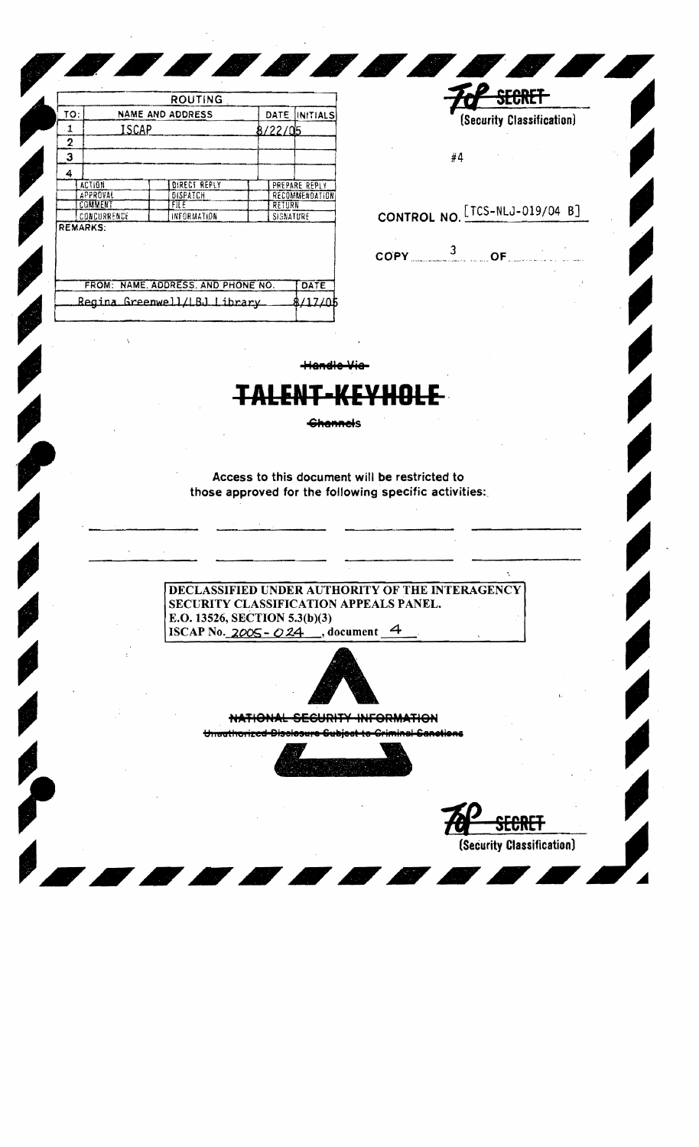|                 |       | <b>ROUTING</b>                     |               |                |  |
|-----------------|-------|------------------------------------|---------------|----------------|--|
| ΤΟ.             |       | <b>NAME AND ADDRESS</b>            | DATE          | INITIALS       |  |
| 1               | ISCAP |                                    | 8/22/05       |                |  |
| 2               |       |                                    |               |                |  |
| 3               |       |                                    |               |                |  |
| 4               |       |                                    |               |                |  |
| <b>ACTION</b>   |       | <b>DIRECT REPLY</b>                |               | PREPARE REPLY  |  |
| APPROVAL        |       | DISPATCH                           |               | RECOMMENDATION |  |
| COMMENT         |       | FILE.                              | <b>RETURN</b> |                |  |
| CONCURRENCE     |       | INFORMATION                        | SIGNATURE     |                |  |
| <b>REMARKS:</b> |       |                                    |               |                |  |
|                 |       | FROM: NAME, ADDRESS, AND PHONE NO. |               | DATE           |  |
|                 |       | Regina Greenwell/LBJ Library       |               |                |  |
|                 |       |                                    |               |                |  |

|    |  | (Security Classification) |  |
|----|--|---------------------------|--|
| #4 |  |                           |  |

CONTROL NO. [TCS-NLJ-019/04 B]

 $\texttt{COPY} \qquad \qquad \frac{3}{\texttt{OF}}$ 

**Handle Vie-**

**Channels** 

Access to this document will be restricted to those approved for the following specific activities:

DECLASSIFIED UNDER AUTHORITY OF THE INTERAGENCY SECURITY CLASSIFICATION APPEALS PANEL. E.O. 13526, SECTION 5.3(b)(3) ISCAP No.  $2005 - 024$ , document 4



NATIONAL SECURITY INFORMATION

Unauthorized Disclosure <del>Gubjoct to</del>



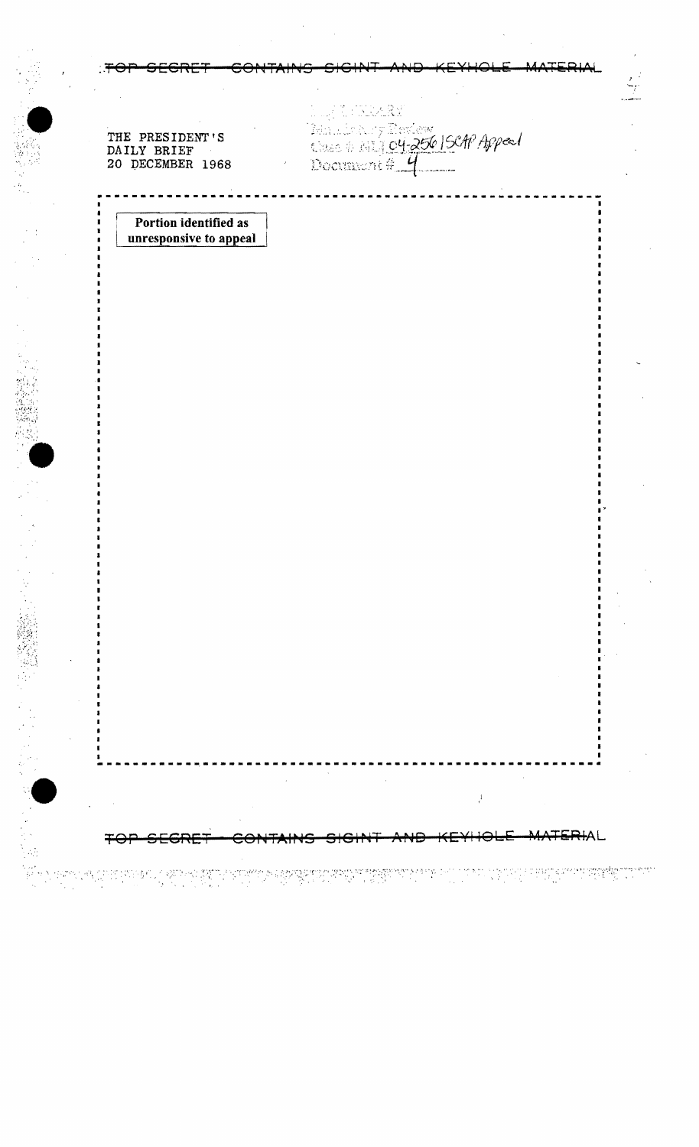|  |  | <u>TAD CECDET CONTAINS CICINT AND KEVUALE MATEDINI</u> |  |
|--|--|--------------------------------------------------------|--|
|  |  | <u> TVI JESNEI OVNIMINJ JISTRI NIR RETTORE MITSIMI</u> |  |

THE PRESIDENT'S<br>DAILY BRIEF<br>20 DECEMBER 1968

My Michael<br>Bandon y Rothey<br>Document # <mark>4</mark>

 $\mathcal{F}$ 

<del>TA 11</del>

Portion identified as unresponsive to appeal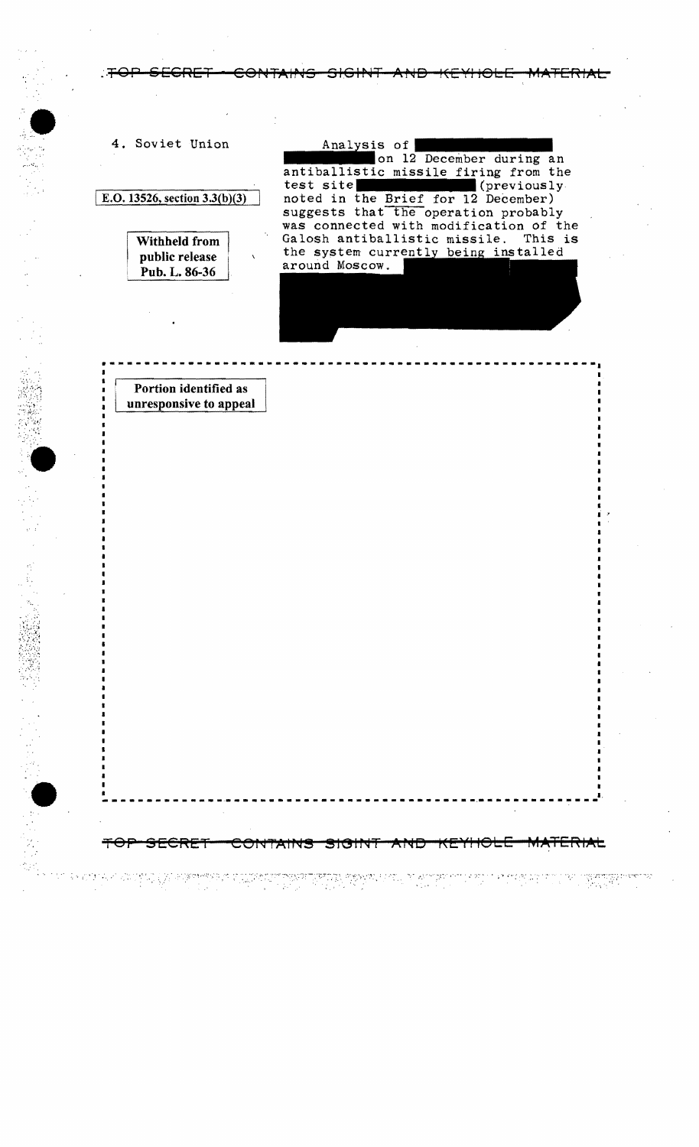:TOP SECRET CONTAINS SIGINT AND KEYHOLE MATERIAL

---------------------------------------------------------

SECRET CONTAINS SIGINT AND KEYHOLE MATERIAL

I

:" :;'1;." ~ ~:',~

4. Soviet Union

E.O. 13526, section  $3.3(b)(3)$ 

Withheld from public release <sup>I</sup>Pub. L. 86-36

Analysis of on 12 December during an antiballistic missile firing from the test site (previously test site<br>
noted in the Brief for 12 December) suggests that the operation probably was connected with modification of the<br>Galosh antiballistic missile. This is Galosh antiballistic missile. the system currently being installed around Moscow.

Portion identified as unresponsive to appeal